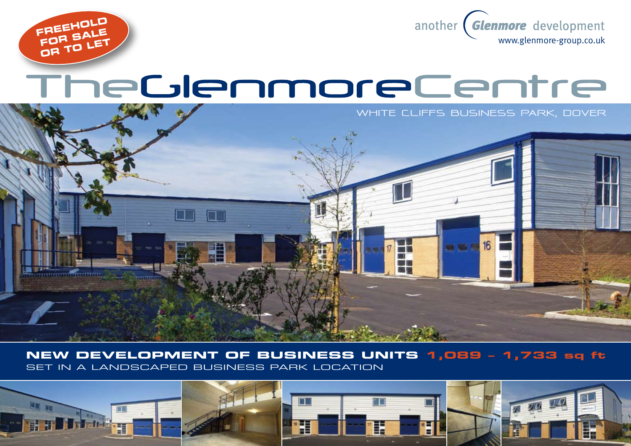



# TheGlenmoreCentre



**NEW DEVELOPMENT OF BUSINESS UNITS 1,089 – 1,733 sq ft** SET IN A LANDSCAPED BUSINESS PARK LOCATION